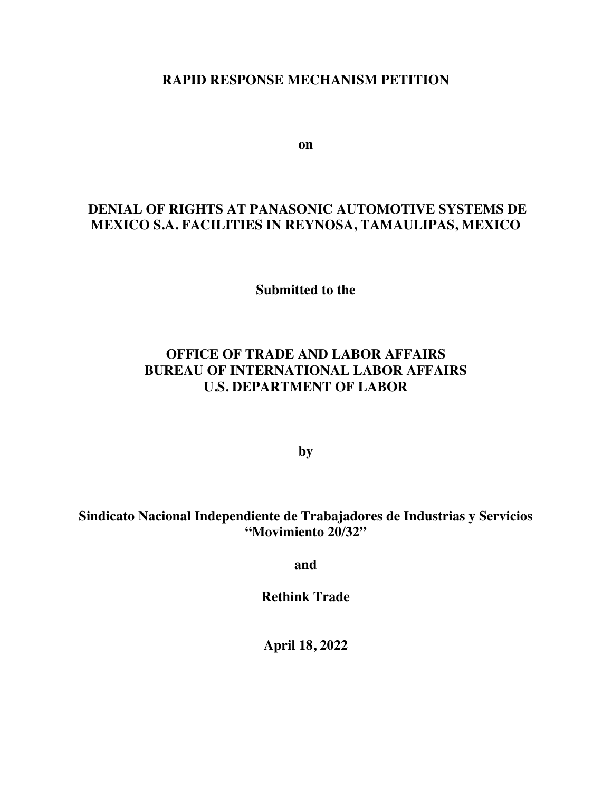#### **RAPID RESPONSE MECHANISM PETITION**

**on**

#### **DENIAL OF RIGHTS AT PANASONIC AUTOMOTIVE SYSTEMS DE MEXICO S.A. FACILITIES IN REYNOSA, TAMAULIPAS, MEXICO**

**Submitted to the** 

## **OFFICE OF TRADE AND LABOR AFFAIRS BUREAU OF INTERNATIONAL LABOR AFFAIRS U.S. DEPARTMENT OF LABOR**

**by**

#### **Sindicato Nacional Independiente de Trabajadores de Industrias y Servicios "Movimiento 20/32"**

**and**

**Rethink Trade** 

**April 18, 2022**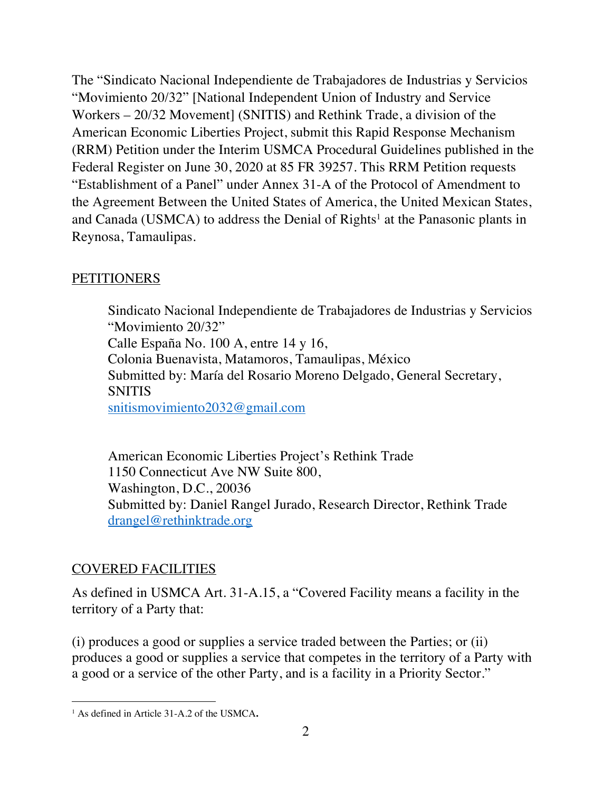The "Sindicato Nacional Independiente de Trabajadores de Industrias y Servicios "Movimiento 20/32" [National Independent Union of Industry and Service Workers – 20/32 Movement] (SNITIS) and Rethink Trade, a division of the American Economic Liberties Project, submit this Rapid Response Mechanism (RRM) Petition under the Interim USMCA Procedural Guidelines published in the Federal Register on June 30, 2020 at 85 FR 39257. This RRM Petition requests "Establishment of a Panel" under Annex 31-A of the Protocol of Amendment to the Agreement Between the United States of America, the United Mexican States, and Canada (USMCA) to address the Denial of  $Right<sup>1</sup>$  at the Panasonic plants in Reynosa, Tamaulipas.

#### **PETITIONERS**

Sindicato Nacional Independiente de Trabajadores de Industrias y Servicios "Movimiento 20/32" Calle España No. 100 A, entre 14 y 16, Colonia Buenavista, Matamoros, Tamaulipas, México Submitted by: María del Rosario Moreno Delgado, General Secretary, **SNITIS** snitismovimiento2032@gmail.com

American Economic Liberties Project's Rethink Trade 1150 Connecticut Ave NW Suite 800, Washington, D.C., 20036 Submitted by: Daniel Rangel Jurado, Research Director, Rethink Trade drangel@rethinktrade.org

## COVERED FACILITIES

As defined in USMCA Art. 31-A.15, a "Covered Facility means a facility in the territory of a Party that:

(i) produces a good or supplies a service traded between the Parties; or (ii) produces a good or supplies a service that competes in the territory of a Party with a good or a service of the other Party, and is a facility in a Priority Sector."

<sup>1</sup> As defined in Article 31-A.2 of the USMCA**.**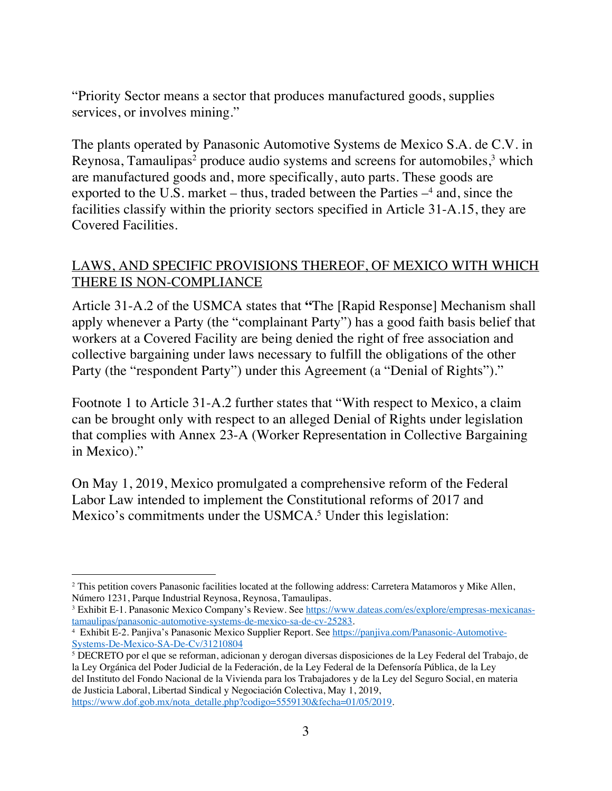"Priority Sector means a sector that produces manufactured goods, supplies services, or involves mining."

The plants operated by Panasonic Automotive Systems de Mexico S.A. de C.V. in Reynosa, Tamaulipas<sup>2</sup> produce audio systems and screens for automobiles,  $3$  which are manufactured goods and, more specifically, auto parts. These goods are exported to the U.S. market – thus, traded between the Parties  $-4$  and, since the facilities classify within the priority sectors specified in Article 31-A.15, they are Covered Facilities.

#### LAWS, AND SPECIFIC PROVISIONS THEREOF, OF MEXICO WITH WHICH THERE IS NON-COMPLIANCE

Article 31-A.2 of the USMCA states that **"**The [Rapid Response] Mechanism shall apply whenever a Party (the "complainant Party") has a good faith basis belief that workers at a Covered Facility are being denied the right of free association and collective bargaining under laws necessary to fulfill the obligations of the other Party (the "respondent Party") under this Agreement (a "Denial of Rights")."

Footnote 1 to Article 31-A.2 further states that "With respect to Mexico, a claim can be brought only with respect to an alleged Denial of Rights under legislation that complies with Annex 23-A (Worker Representation in Collective Bargaining in Mexico)."

On May 1, 2019, Mexico promulgated a comprehensive reform of the Federal Labor Law intended to implement the Constitutional reforms of 2017 and Mexico's commitments under the USMCA.<sup>5</sup> Under this legislation:

<sup>2</sup> This petition covers Panasonic facilities located at the following address: Carretera Matamoros y Mike Allen, Número 1231, Parque Industrial Reynosa, Reynosa, Tamaulipas.

<sup>&</sup>lt;sup>3</sup> Exhibit E-1. Panasonic Mexico Company's Review. See https://www.dateas.com/es/explore/empresas-mexicanas-tamaulipas/panasonic-automotive-systems-de-mexico-sa-de-cv-25283.

<sup>&</sup>lt;sup>4</sup> Exhibit E-2. Panjiva's Panasonic Mexico Supplier Report. See https://panjiva.com/Panasonic-Automotive-Systems-De-Mexico-SA-De-Cv/31210804

<sup>5</sup> DECRETO por el que se reforman, adicionan y derogan diversas disposiciones de la Ley Federal del Trabajo, de la Ley Orgánica del Poder Judicial de la Federación, de la Ley Federal de la Defensoría Pública, de la Ley del Instituto del Fondo Nacional de la Vivienda para los Trabajadores y de la Ley del Seguro Social, en materia de Justicia Laboral, Libertad Sindical y Negociación Colectiva, May 1, 2019, https://www.dof.gob.mx/nota\_detalle.php?codigo=5559130&fecha=01/05/2019.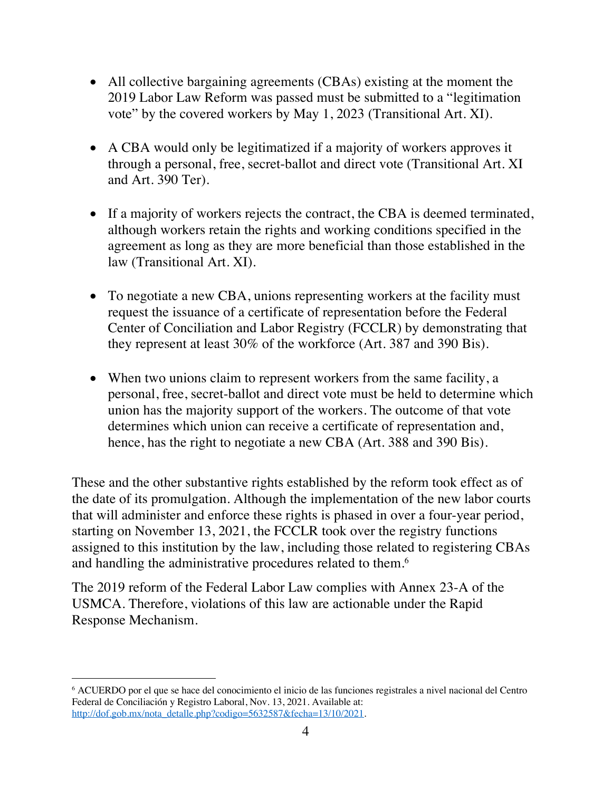- All collective bargaining agreements (CBAs) existing at the moment the 2019 Labor Law Reform was passed must be submitted to a "legitimation vote" by the covered workers by May 1, 2023 (Transitional Art. XI).
- A CBA would only be legitimatized if a majority of workers approves it through a personal, free, secret-ballot and direct vote (Transitional Art. XI and Art. 390 Ter).
- If a majority of workers rejects the contract, the CBA is deemed terminated, although workers retain the rights and working conditions specified in the agreement as long as they are more beneficial than those established in the law (Transitional Art. XI).
- To negotiate a new CBA, unions representing workers at the facility must request the issuance of a certificate of representation before the Federal Center of Conciliation and Labor Registry (FCCLR) by demonstrating that they represent at least 30% of the workforce (Art. 387 and 390 Bis).
- When two unions claim to represent workers from the same facility, a personal, free, secret-ballot and direct vote must be held to determine which union has the majority support of the workers. The outcome of that vote determines which union can receive a certificate of representation and, hence, has the right to negotiate a new CBA (Art. 388 and 390 Bis).

These and the other substantive rights established by the reform took effect as of the date of its promulgation. Although the implementation of the new labor courts that will administer and enforce these rights is phased in over a four-year period, starting on November 13, 2021, the FCCLR took over the registry functions assigned to this institution by the law, including those related to registering CBAs and handling the administrative procedures related to them.<sup>6</sup>

The 2019 reform of the Federal Labor Law complies with Annex 23-A of the USMCA. Therefore, violations of this law are actionable under the Rapid Response Mechanism.

<sup>6</sup> ACUERDO por el que se hace del conocimiento el inicio de las funciones registrales a nivel nacional del Centro Federal de Conciliación y Registro Laboral, Nov. 13, 2021. Available at: http://dof.gob.mx/nota\_detalle.php?codigo=5632587&fecha=13/10/2021.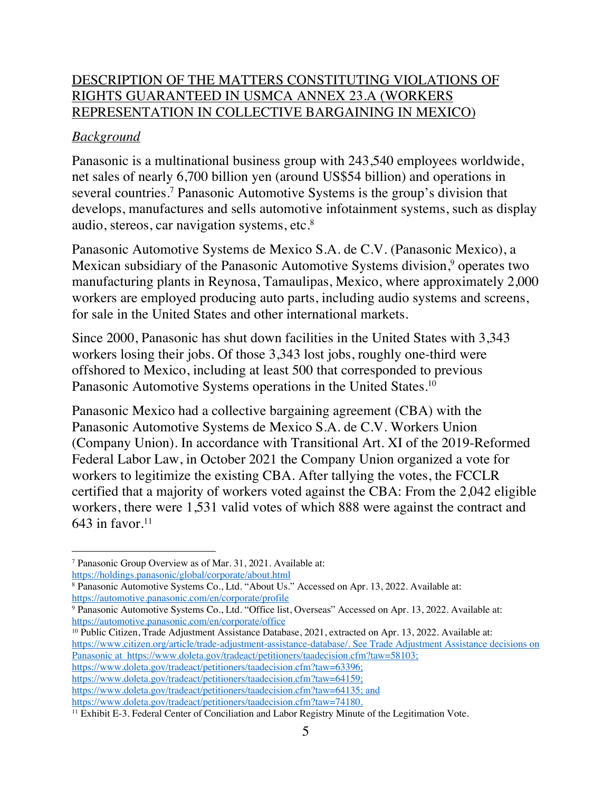## DESCRIPTION OF THE MATTERS CONSTITUTING VIOLATIONS OF RIGHTS GUARANTEED IN USMCA ANNEX 23.A (WORKERS REPRESENTATION IN COLLECTIVE BARGAINING IN MEXICO)

## *Background*

Panasonic is a multinational business group with 243,540 employees worldwide, net sales of nearly 6,700 billion yen (around US\$54 billion) and operations in several countries.7 Panasonic Automotive Systems is the group's division that develops, manufactures and sells automotive infotainment systems, such as display audio, stereos, car navigation systems, etc.<sup>8</sup>

Panasonic Automotive Systems de Mexico S.A. de C.V. (Panasonic Mexico), a Mexican subsidiary of the Panasonic Automotive Systems division, <sup>9</sup> operates two manufacturing plants in Reynosa, Tamaulipas, Mexico, where approximately 2,000 workers are employed producing auto parts, including audio systems and screens, for sale in the United States and other international markets.

Since 2000, Panasonic has shut down facilities in the United States with 3,343 workers losing their jobs. Of those 3,343 lost jobs, roughly one-third were offshored to Mexico, including at least 500 that corresponded to previous Panasonic Automotive Systems operations in the United States. 10

Panasonic Mexico had a collective bargaining agreement (CBA) with the Panasonic Automotive Systems de Mexico S.A. de C.V. Workers Union (Company Union). In accordance with Transitional Art. XI of the 2019-Reformed Federal Labor Law, in October 2021 the Company Union organized a vote for workers to legitimize the existing CBA. After tallying the votes, the FCCLR certified that a majority of workers voted against the CBA: From the 2,042 eligible workers, there were 1,531 valid votes of which 888 were against the contract and 643 in favor. $11$ 

<sup>10</sup> Public Citizen, Trade Adjustment Assistance Database, 2021, extracted on Apr. 13, 2022. Available at: https://www.citizen.org/article/trade-adjustment-assistance-database/. See Trade Adjustment Assistance decisions on Panasonic at https://www.doleta.gov/tradeact/petitioners/taadecision.cfm?taw=58103; https://www.doleta.gov/tradeact/petitioners/taadecision.cfm?taw=63396; https://www.doleta.gov/tradeact/petitioners/taadecision.cfm?taw=64159;

https://www.doleta.gov/tradeact/petitioners/taadecision.cfm?taw=64135; and<br>https://www.doleta.gov/tradeact/petitioners/taadecision.cfm?taw=74180.

<sup>7</sup> Panasonic Group Overview as of Mar. 31, 2021. Available at:

https://holdings.panasonic/global/corporate/about.html

<sup>8</sup> Panasonic Automotive Systems Co., Ltd. "About Us." Accessed on Apr. 13, 2022. Available at: https://automotive.panasonic.com/en/corporate/profile

<sup>9</sup> Panasonic Automotive Systems Co., Ltd. "Office list, Overseas" Accessed on Apr. 13, 2022. Available at: https://automotive.panasonic.com/en/corporate/office

 $11$  Exhibit E-3. Federal Center of Conciliation and Labor Registry Minute of the Legitimation Vote.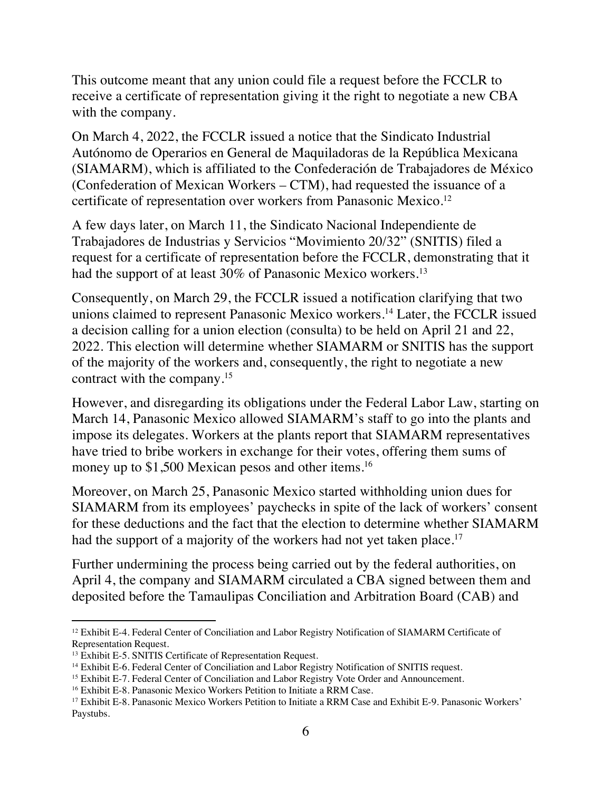This outcome meant that any union could file a request before the FCCLR to receive a certificate of representation giving it the right to negotiate a new CBA with the company.

On March 4, 2022, the FCCLR issued a notice that the Sindicato Industrial Autónomo de Operarios en General de Maquiladoras de la República Mexicana (SIAMARM), which is affiliated to the Confederación de Trabajadores de México (Confederation of Mexican Workers – CTM), had requested the issuance of a certificate of representation over workers from Panasonic Mexico.12

A few days later, on March 11, the Sindicato Nacional Independiente de Trabajadores de Industrias y Servicios "Movimiento 20/32" (SNITIS) filed a request for a certificate of representation before the FCCLR, demonstrating that it had the support of at least 30% of Panasonic Mexico workers.<sup>13</sup>

Consequently, on March 29, the FCCLR issued a notification clarifying that two unions claimed to represent Panasonic Mexico workers.14 Later, the FCCLR issued a decision calling for a union election (consulta) to be held on April 21 and 22, 2022. This election will determine whether SIAMARM or SNITIS has the support of the majority of the workers and, consequently, the right to negotiate a new contract with the company.15

However, and disregarding its obligations under the Federal Labor Law, starting on March 14, Panasonic Mexico allowed SIAMARM's staff to go into the plants and impose its delegates. Workers at the plants report that SIAMARM representatives have tried to bribe workers in exchange for their votes, offering them sums of money up to \$1,500 Mexican pesos and other items.<sup>16</sup>

Moreover, on March 25, Panasonic Mexico started withholding union dues for SIAMARM from its employees' paychecks in spite of the lack of workers' consent for these deductions and the fact that the election to determine whether SIAMARM had the support of a majority of the workers had not yet taken place.<sup>17</sup>

Further undermining the process being carried out by the federal authorities, on April 4, the company and SIAMARM circulated a CBA signed between them and deposited before the Tamaulipas Conciliation and Arbitration Board (CAB) and

<sup>&</sup>lt;sup>12</sup> Exhibit E-4. Federal Center of Conciliation and Labor Registry Notification of SIAMARM Certificate of Representation Request.

<sup>&</sup>lt;sup>13</sup> Exhibit E-5. SNITIS Certificate of Representation Request.

<sup>14</sup> Exhibit E-6. Federal Center of Conciliation and Labor Registry Notification of SNITIS request.

<sup>&</sup>lt;sup>15</sup> Exhibit E-7. Federal Center of Conciliation and Labor Registry Vote Order and Announcement.<br><sup>16</sup> Exhibit E-8. Panasonic Mexico Workers Petition to Initiate a RRM Case.

<sup>&</sup>lt;sup>17</sup> Exhibit E-8. Panasonic Mexico Workers Petition to Initiate a RRM Case and Exhibit E-9. Panasonic Workers' Paystubs.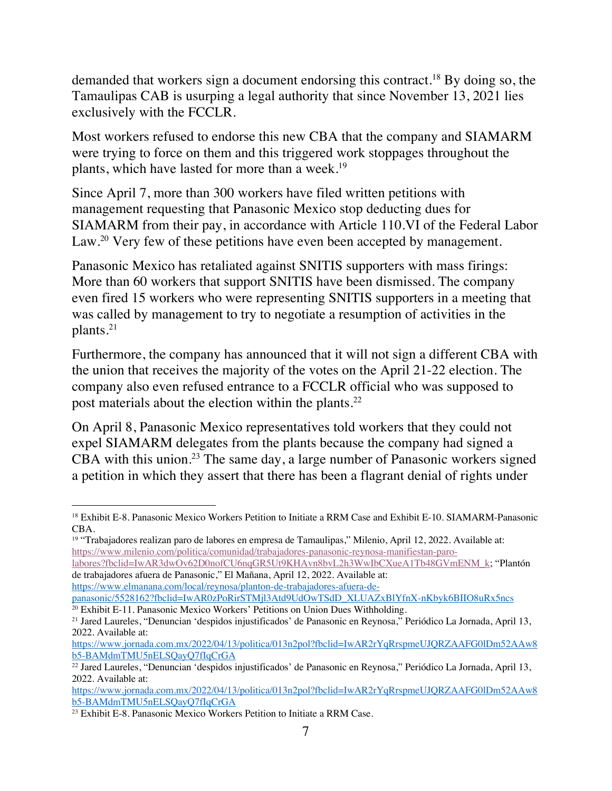demanded that workers sign a document endorsing this contract.18 By doing so, the Tamaulipas CAB is usurping a legal authority that since November 13, 2021 lies exclusively with the FCCLR.

Most workers refused to endorse this new CBA that the company and SIAMARM were trying to force on them and this triggered work stoppages throughout the plants, which have lasted for more than a week.<sup>19</sup>

Since April 7, more than 300 workers have filed written petitions with management requesting that Panasonic Mexico stop deducting dues for SIAMARM from their pay, in accordance with Article 110.VI of the Federal Labor Law.<sup>20</sup> Very few of these petitions have even been accepted by management.

Panasonic Mexico has retaliated against SNITIS supporters with mass firings: More than 60 workers that support SNITIS have been dismissed. The company even fired 15 workers who were representing SNITIS supporters in a meeting that was called by management to try to negotiate a resumption of activities in the plants.21

Furthermore, the company has announced that it will not sign a different CBA with the union that receives the majority of the votes on the April 21-22 election. The company also even refused entrance to a FCCLR official who was supposed to post materials about the election within the plants.22

On April 8, Panasonic Mexico representatives told workers that they could not expel SIAMARM delegates from the plants because the company had signed a CBA with this union.<sup>23</sup> The same day, a large number of Panasonic workers signed a petition in which they assert that there has been a flagrant denial of rights under

labores?fbclid=IwAR3dwOv62D0nofCU6nqGR5Ut9KHAvn8bvL2h3WwIbCXueA1Tb48GVmENM\_k; "Plantón de trabajadores afuera de Panasonic," El Mañana, April 12, 2022. Available at: https://www.elmanana.com/local/reynosa/planton-de-trabajadores-afuera-de-

<sup>18</sup> Exhibit E-8. Panasonic Mexico Workers Petition to Initiate a RRM Case and Exhibit E-10. SIAMARM-Panasonic CBA.

<sup>19</sup> "Trabajadores realizan paro de labores en empresa de Tamaulipas," Milenio, April 12, 2022. Available at: https://www.milenio.com/politica/comunidad/trabajadores-panasonic-reynosa-manifiestan-paro-

panasonic/5528162?fbclid=IwAR0zPoRirSTMjl3Atd9UdOwTSdD\_XLUAZxBlYfnX-nKbyk6BIIO8uRx5ncs  $20$  Exhibit E-11. Panasonic Mexico Workers' Petitions on Union Dues Withholding.

<sup>21</sup> Jared Laureles, "Denuncian 'despidos injustificados' de Panasonic en Reynosa," Periódico La Jornada, April 13, 2022. Available at:

https://www.jornada.com.mx/2022/04/13/politica/013n2pol?fbclid=IwAR2rYqRrspmeUJQRZAAFG0lDm52AAw8 b5-BAMdmTMU5nELSQayQ7fIqCrGA

<sup>22</sup> Jared Laureles, "Denuncian 'despidos injustificados' de Panasonic en Reynosa," Periódico La Jornada, April 13, 2022. Available at:

https://www.jornada.com.mx/2022/04/13/politica/013n2pol?fbclid=IwAR2rYqRrspmeUJQRZAAFG0lDm52AAw8 b5-BAMdmTMU5nELSQayQ7fIqCrGA

<sup>&</sup>lt;sup>23</sup> Exhibit E-8. Panasonic Mexico Workers Petition to Initiate a RRM Case.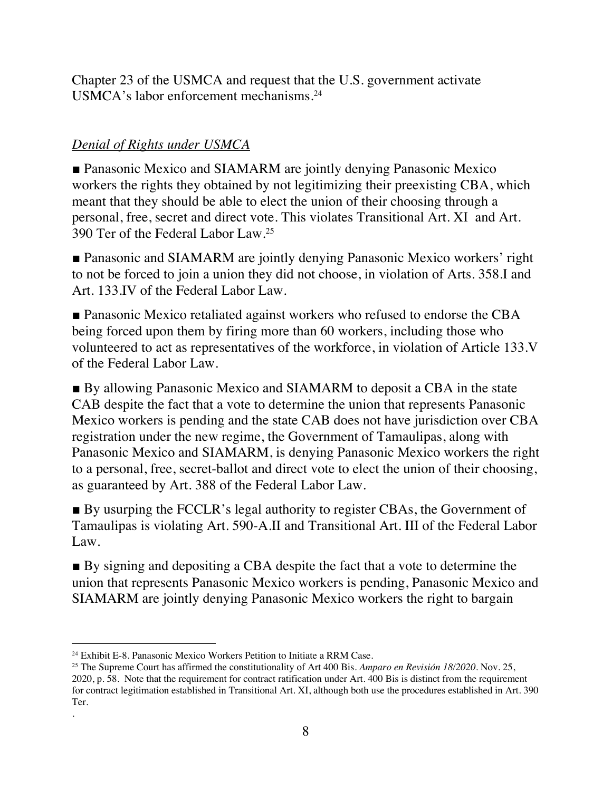Chapter 23 of the USMCA and request that the U.S. government activate USMCA's labor enforcement mechanisms.24

# *Denial of Rights under USMCA*

■ Panasonic Mexico and SIAMARM are jointly denying Panasonic Mexico workers the rights they obtained by not legitimizing their preexisting CBA, which meant that they should be able to elect the union of their choosing through a personal, free, secret and direct vote. This violates Transitional Art. XI and Art. 390 Ter of the Federal Labor Law.25

■ Panasonic and SIAMARM are jointly denying Panasonic Mexico workers' right to not be forced to join a union they did not choose, in violation of Arts. 358.I and Art. 133.IV of the Federal Labor Law.

■ Panasonic Mexico retaliated against workers who refused to endorse the CBA being forced upon them by firing more than 60 workers, including those who volunteered to act as representatives of the workforce, in violation of Article 133.V of the Federal Labor Law.

■ By allowing Panasonic Mexico and SIAMARM to deposit a CBA in the state CAB despite the fact that a vote to determine the union that represents Panasonic Mexico workers is pending and the state CAB does not have jurisdiction over CBA registration under the new regime, the Government of Tamaulipas, along with Panasonic Mexico and SIAMARM, is denying Panasonic Mexico workers the right to a personal, free, secret-ballot and direct vote to elect the union of their choosing, as guaranteed by Art. 388 of the Federal Labor Law.

■ By usurping the FCCLR's legal authority to register CBAs, the Government of Tamaulipas is violating Art. 590-A.II and Transitional Art. III of the Federal Labor Law.

■ By signing and depositing a CBA despite the fact that a vote to determine the union that represents Panasonic Mexico workers is pending, Panasonic Mexico and SIAMARM are jointly denying Panasonic Mexico workers the right to bargain

.

<sup>24</sup> Exhibit E-8. Panasonic Mexico Workers Petition to Initiate a RRM Case.

<sup>25</sup> The Supreme Court has affirmed the constitutionality of Art 400 Bis. *Amparo en Revisión 18/2020*. Nov. 25, 2020, p. 58. Note that the requirement for contract ratification under Art. 400 Bis is distinct from the requirement for contract legitimation established in Transitional Art. XI, although both use the procedures established in Art. 390 Ter.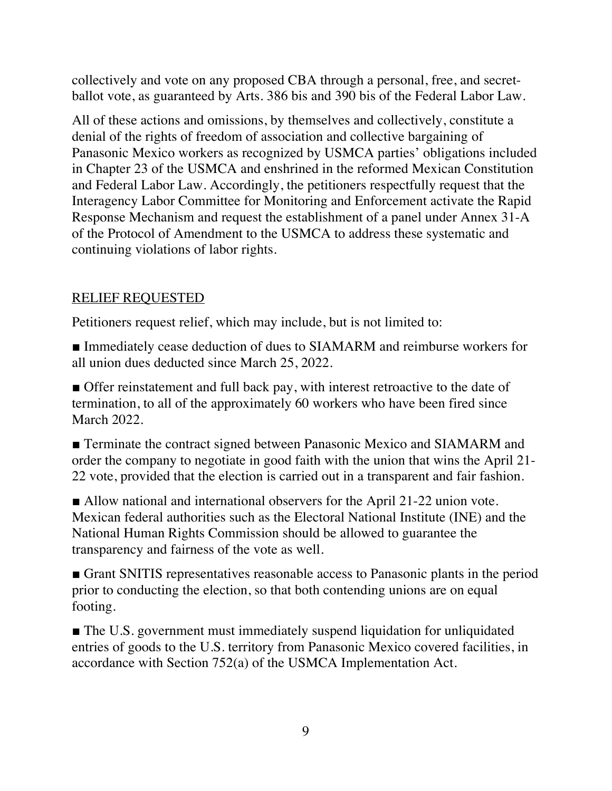collectively and vote on any proposed CBA through a personal, free, and secretballot vote, as guaranteed by Arts. 386 bis and 390 bis of the Federal Labor Law.

All of these actions and omissions, by themselves and collectively, constitute a denial of the rights of freedom of association and collective bargaining of Panasonic Mexico workers as recognized by USMCA parties' obligations included in Chapter 23 of the USMCA and enshrined in the reformed Mexican Constitution and Federal Labor Law. Accordingly, the petitioners respectfully request that the Interagency Labor Committee for Monitoring and Enforcement activate the Rapid Response Mechanism and request the establishment of a panel under Annex 31-A of the Protocol of Amendment to the USMCA to address these systematic and continuing violations of labor rights.

## RELIEF REQUESTED

Petitioners request relief, which may include, but is not limited to:

■ Immediately cease deduction of dues to SIAMARM and reimburse workers for all union dues deducted since March 25, 2022.

■ Offer reinstatement and full back pay, with interest retroactive to the date of termination, to all of the approximately 60 workers who have been fired since March 2022.

■ Terminate the contract signed between Panasonic Mexico and SIAMARM and order the company to negotiate in good faith with the union that wins the April 21- 22 vote, provided that the election is carried out in a transparent and fair fashion.

■ Allow national and international observers for the April 21-22 union vote. Mexican federal authorities such as the Electoral National Institute (INE) and the National Human Rights Commission should be allowed to guarantee the transparency and fairness of the vote as well.

■ Grant SNITIS representatives reasonable access to Panasonic plants in the period prior to conducting the election, so that both contending unions are on equal footing.

■ The U.S. government must immediately suspend liquidation for unliquidated entries of goods to the U.S. territory from Panasonic Mexico covered facilities, in accordance with Section 752(a) of the USMCA Implementation Act.